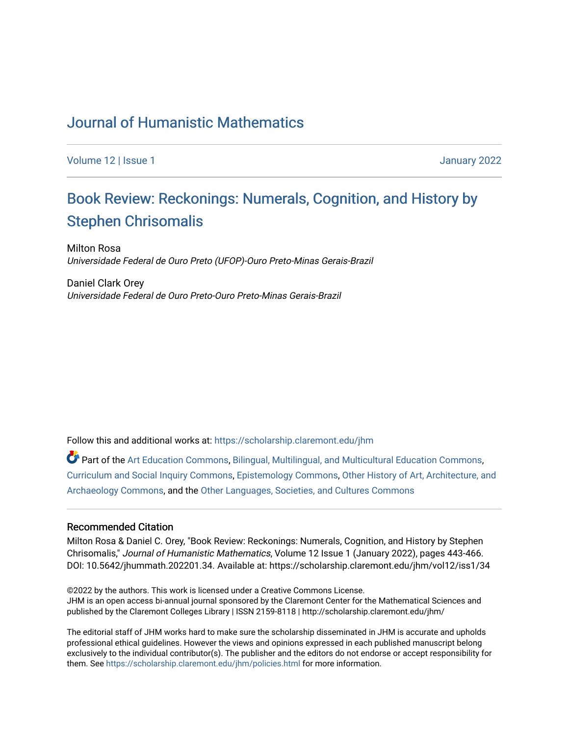## [Journal of Humanistic Mathematics](https://scholarship.claremont.edu/jhm)

[Volume 12](https://scholarship.claremont.edu/jhm/vol12) | [Issue 1 January 2022](https://scholarship.claremont.edu/jhm/vol12/iss1) 

# Book Re[view: Reckonings: Numerals, Cognition, and Hist](https://scholarship.claremont.edu/jhm/vol12/iss1/34)ory by [Stephen Chrisomalis](https://scholarship.claremont.edu/jhm/vol12/iss1/34)

Milton Rosa Universidade Federal de Ouro Preto (UFOP)-Ouro Preto-Minas Gerais-Brazil

Daniel Clark Orey Universidade Federal de Ouro Preto-Ouro Preto-Minas Gerais-Brazil

Follow this and additional works at: [https://scholarship.claremont.edu/jhm](https://scholarship.claremont.edu/jhm?utm_source=scholarship.claremont.edu%2Fjhm%2Fvol12%2Fiss1%2F34&utm_medium=PDF&utm_campaign=PDFCoverPages)

Part of the [Art Education Commons](http://network.bepress.com/hgg/discipline/1149?utm_source=scholarship.claremont.edu%2Fjhm%2Fvol12%2Fiss1%2F34&utm_medium=PDF&utm_campaign=PDFCoverPages), [Bilingual, Multilingual, and Multicultural Education Commons,](http://network.bepress.com/hgg/discipline/785?utm_source=scholarship.claremont.edu%2Fjhm%2Fvol12%2Fiss1%2F34&utm_medium=PDF&utm_campaign=PDFCoverPages) [Curriculum and Social Inquiry Commons,](http://network.bepress.com/hgg/discipline/1038?utm_source=scholarship.claremont.edu%2Fjhm%2Fvol12%2Fiss1%2F34&utm_medium=PDF&utm_campaign=PDFCoverPages) [Epistemology Commons,](http://network.bepress.com/hgg/discipline/527?utm_source=scholarship.claremont.edu%2Fjhm%2Fvol12%2Fiss1%2F34&utm_medium=PDF&utm_campaign=PDFCoverPages) [Other History of Art, Architecture, and](http://network.bepress.com/hgg/discipline/517?utm_source=scholarship.claremont.edu%2Fjhm%2Fvol12%2Fiss1%2F34&utm_medium=PDF&utm_campaign=PDFCoverPages) [Archaeology Commons](http://network.bepress.com/hgg/discipline/517?utm_source=scholarship.claremont.edu%2Fjhm%2Fvol12%2Fiss1%2F34&utm_medium=PDF&utm_campaign=PDFCoverPages), and the [Other Languages, Societies, and Cultures Commons](http://network.bepress.com/hgg/discipline/475?utm_source=scholarship.claremont.edu%2Fjhm%2Fvol12%2Fiss1%2F34&utm_medium=PDF&utm_campaign=PDFCoverPages)

#### Recommended Citation

Milton Rosa & Daniel C. Orey, "Book Review: Reckonings: Numerals, Cognition, and History by Stephen Chrisomalis," Journal of Humanistic Mathematics, Volume 12 Issue 1 (January 2022), pages 443-466. DOI: 10.5642/jhummath.202201.34. Available at: https://scholarship.claremont.edu/jhm/vol12/iss1/34

©2022 by the authors. This work is licensed under a Creative Commons License. JHM is an open access bi-annual journal sponsored by the Claremont Center for the Mathematical Sciences and published by the Claremont Colleges Library | ISSN 2159-8118 | http://scholarship.claremont.edu/jhm/

The editorial staff of JHM works hard to make sure the scholarship disseminated in JHM is accurate and upholds professional ethical guidelines. However the views and opinions expressed in each published manuscript belong exclusively to the individual contributor(s). The publisher and the editors do not endorse or accept responsibility for them. See<https://scholarship.claremont.edu/jhm/policies.html> for more information.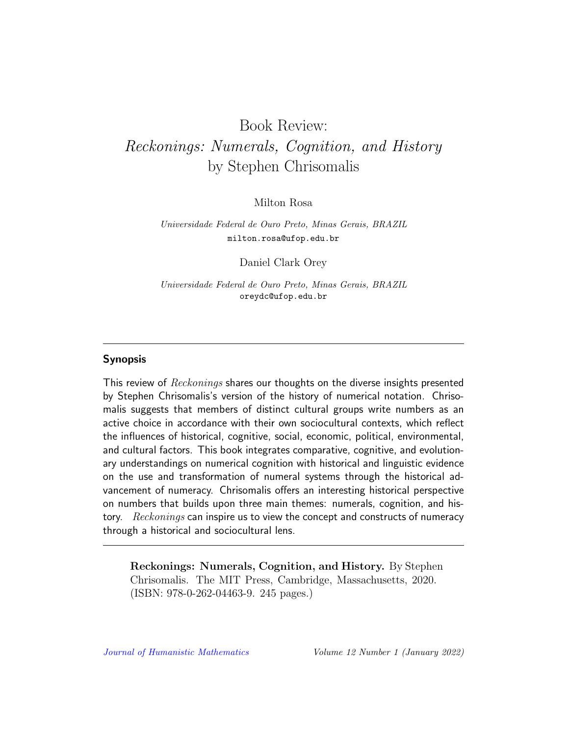# Book Review: Reckonings: Numerals, Cognition, and History by Stephen Chrisomalis

Milton Rosa

Universidade Federal de Ouro Preto, Minas Gerais, BRAZIL milton.rosa@ufop.edu.br

Daniel Clark Orey

Universidade Federal de Ouro Preto, Minas Gerais, BRAZIL oreydc@ufop.edu.br

#### Synopsis

This review of Reckonings shares our thoughts on the diverse insights presented by Stephen Chrisomalis's version of the history of numerical notation. Chrisomalis suggests that members of distinct cultural groups write numbers as an active choice in accordance with their own sociocultural contexts, which reflect the influences of historical, cognitive, social, economic, political, environmental, and cultural factors. This book integrates comparative, cognitive, and evolutionary understandings on numerical cognition with historical and linguistic evidence on the use and transformation of numeral systems through the historical advancement of numeracy. Chrisomalis offers an interesting historical perspective on numbers that builds upon three main themes: numerals, cognition, and history. Reckonings can inspire us to view the concept and constructs of numeracy through a historical and sociocultural lens.

Reckonings: Numerals, Cognition, and History. By Stephen Chrisomalis. The MIT Press, Cambridge, Massachusetts, 2020. (ISBN: 978-0-262-04463-9. 245 pages.)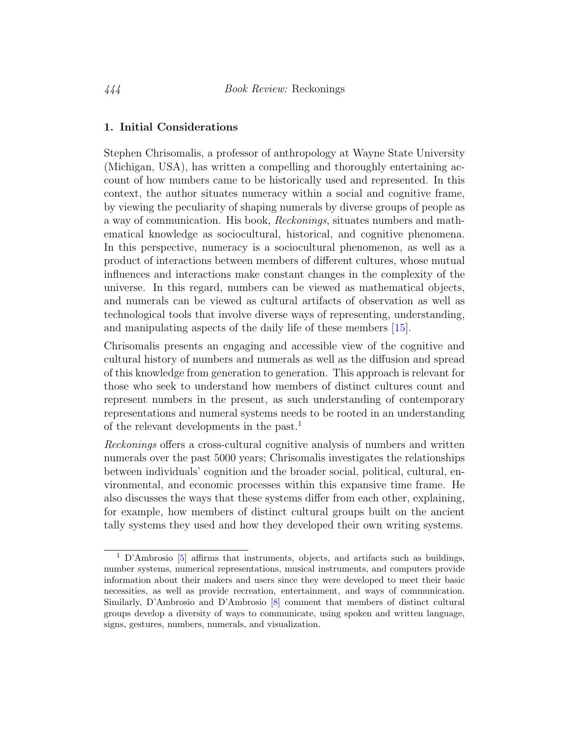#### 1. Initial Considerations

Stephen Chrisomalis, a professor of anthropology at Wayne State University (Michigan, USA), has written a compelling and thoroughly entertaining account of how numbers came to be historically used and represented. In this context, the author situates numeracy within a social and cognitive frame, by viewing the peculiarity of shaping numerals by diverse groups of people as a way of communication. His book, Reckonings, situates numbers and mathematical knowledge as sociocultural, historical, and cognitive phenomena. In this perspective, numeracy is a sociocultural phenomenon, as well as a product of interactions between members of different cultures, whose mutual influences and interactions make constant changes in the complexity of the universe. In this regard, numbers can be viewed as mathematical objects, and numerals can be viewed as cultural artifacts of observation as well as technological tools that involve diverse ways of representing, understanding, and manipulating aspects of the daily life of these members [\[15\]](#page-23-0).

Chrisomalis presents an engaging and accessible view of the cognitive and cultural history of numbers and numerals as well as the diffusion and spread of this knowledge from generation to generation. This approach is relevant for those who seek to understand how members of distinct cultures count and represent numbers in the present, as such understanding of contemporary representations and numeral systems needs to be rooted in an understanding of the relevant developments in the past.<sup>[1](#page-2-0)</sup>

Reckonings offers a cross-cultural cognitive analysis of numbers and written numerals over the past 5000 years; Chrisomalis investigates the relationships between individuals' cognition and the broader social, political, cultural, environmental, and economic processes within this expansive time frame. He also discusses the ways that these systems differ from each other, explaining, for example, how members of distinct cultural groups built on the ancient tally systems they used and how they developed their own writing systems.

<span id="page-2-0"></span><sup>1</sup> D'Ambrosio [\[5\]](#page-22-0) affirms that instruments, objects, and artifacts such as buildings, number systems, numerical representations, musical instruments, and computers provide information about their makers and users since they were developed to meet their basic necessities, as well as provide recreation, entertainment, and ways of communication. Similarly, D'Ambrosio and D'Ambrosio [\[8\]](#page-22-1) comment that members of distinct cultural groups develop a diversity of ways to communicate, using spoken and written language, signs, gestures, numbers, numerals, and visualization.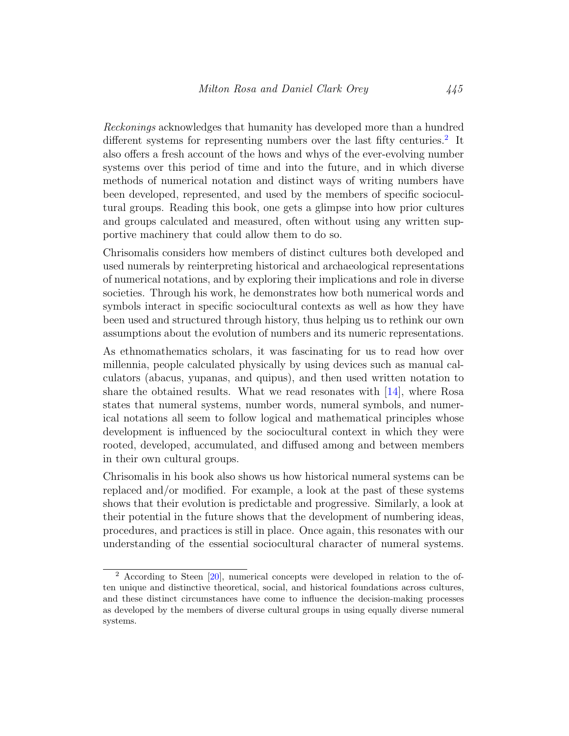Reckonings acknowledges that humanity has developed more than a hundred different systems for representing numbers over the last fifty centuries.<sup>[2](#page-3-0)</sup> It also offers a fresh account of the hows and whys of the ever-evolving number systems over this period of time and into the future, and in which diverse methods of numerical notation and distinct ways of writing numbers have been developed, represented, and used by the members of specific sociocultural groups. Reading this book, one gets a glimpse into how prior cultures and groups calculated and measured, often without using any written supportive machinery that could allow them to do so.

Chrisomalis considers how members of distinct cultures both developed and used numerals by reinterpreting historical and archaeological representations of numerical notations, and by exploring their implications and role in diverse societies. Through his work, he demonstrates how both numerical words and symbols interact in specific sociocultural contexts as well as how they have been used and structured through history, thus helping us to rethink our own assumptions about the evolution of numbers and its numeric representations.

As ethnomathematics scholars, it was fascinating for us to read how over millennia, people calculated physically by using devices such as manual calculators (abacus, yupanas, and quipus), and then used written notation to share the obtained results. What we read resonates with  $[14]$ , where Rosa states that numeral systems, number words, numeral symbols, and numerical notations all seem to follow logical and mathematical principles whose development is influenced by the sociocultural context in which they were rooted, developed, accumulated, and diffused among and between members in their own cultural groups.

Chrisomalis in his book also shows us how historical numeral systems can be replaced and/or modified. For example, a look at the past of these systems shows that their evolution is predictable and progressive. Similarly, a look at their potential in the future shows that the development of numbering ideas, procedures, and practices is still in place. Once again, this resonates with our understanding of the essential sociocultural character of numeral systems.

<span id="page-3-0"></span><sup>2</sup> According to Steen [\[20\]](#page-24-0), numerical concepts were developed in relation to the often unique and distinctive theoretical, social, and historical foundations across cultures, and these distinct circumstances have come to influence the decision-making processes as developed by the members of diverse cultural groups in using equally diverse numeral systems.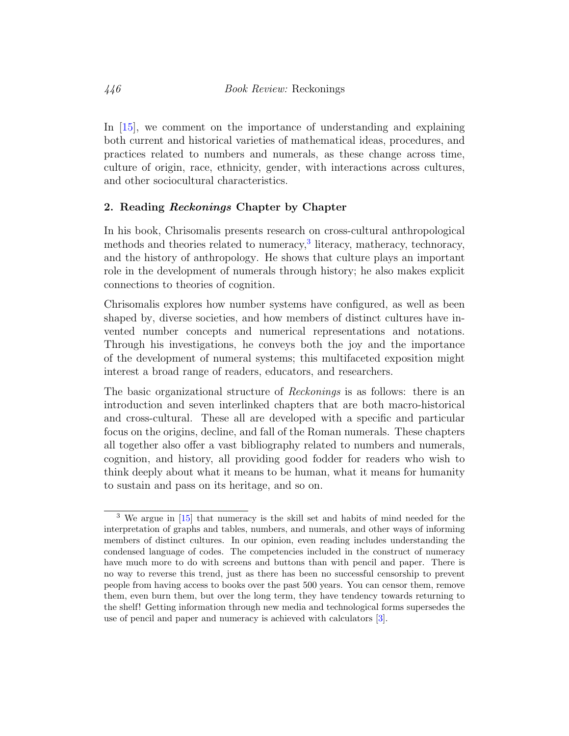In [\[15\]](#page-23-0), we comment on the importance of understanding and explaining both current and historical varieties of mathematical ideas, procedures, and practices related to numbers and numerals, as these change across time, culture of origin, race, ethnicity, gender, with interactions across cultures, and other sociocultural characteristics.

#### 2. Reading *Reckonings* Chapter by Chapter

In his book, Chrisomalis presents research on cross-cultural anthropological methods and theories related to numeracy,<sup>[3](#page-4-0)</sup> literacy, matheracy, technoracy, and the history of anthropology. He shows that culture plays an important role in the development of numerals through history; he also makes explicit connections to theories of cognition.

Chrisomalis explores how number systems have configured, as well as been shaped by, diverse societies, and how members of distinct cultures have invented number concepts and numerical representations and notations. Through his investigations, he conveys both the joy and the importance of the development of numeral systems; this multifaceted exposition might interest a broad range of readers, educators, and researchers.

The basic organizational structure of Reckonings is as follows: there is an introduction and seven interlinked chapters that are both macro-historical and cross-cultural. These all are developed with a specific and particular focus on the origins, decline, and fall of the Roman numerals. These chapters all together also offer a vast bibliography related to numbers and numerals, cognition, and history, all providing good fodder for readers who wish to think deeply about what it means to be human, what it means for humanity to sustain and pass on its heritage, and so on.

<span id="page-4-0"></span><sup>3</sup> We argue in [\[15\]](#page-23-0) that numeracy is the skill set and habits of mind needed for the interpretation of graphs and tables, numbers, and numerals, and other ways of informing members of distinct cultures. In our opinion, even reading includes understanding the condensed language of codes. The competencies included in the construct of numeracy have much more to do with screens and buttons than with pencil and paper. There is no way to reverse this trend, just as there has been no successful censorship to prevent people from having access to books over the past 500 years. You can censor them, remove them, even burn them, but over the long term, they have tendency towards returning to the shelf! Getting information through new media and technological forms supersedes the use of pencil and paper and numeracy is achieved with calculators [\[3\]](#page-22-2).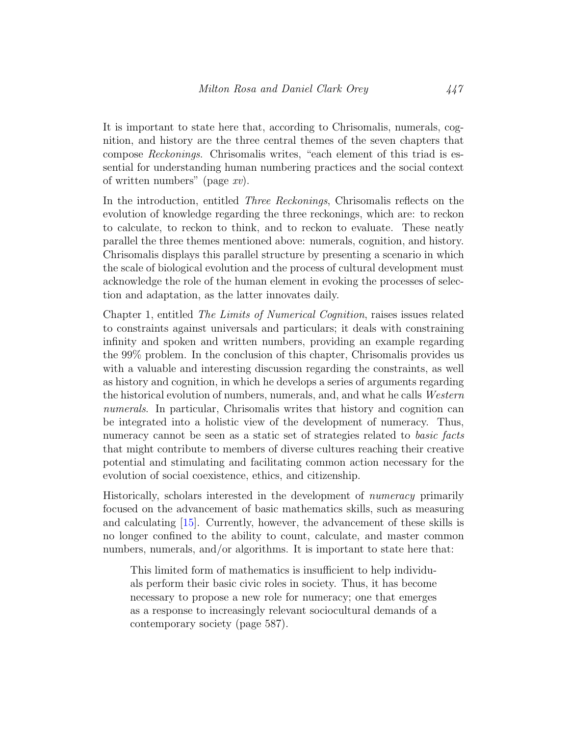It is important to state here that, according to Chrisomalis, numerals, cognition, and history are the three central themes of the seven chapters that compose Reckonings. Chrisomalis writes, "each element of this triad is essential for understanding human numbering practices and the social context of written numbers" (page xv).

In the introduction, entitled Three Reckonings, Chrisomalis reflects on the evolution of knowledge regarding the three reckonings, which are: to reckon to calculate, to reckon to think, and to reckon to evaluate. These neatly parallel the three themes mentioned above: numerals, cognition, and history. Chrisomalis displays this parallel structure by presenting a scenario in which the scale of biological evolution and the process of cultural development must acknowledge the role of the human element in evoking the processes of selection and adaptation, as the latter innovates daily.

Chapter 1, entitled The Limits of Numerical Cognition, raises issues related to constraints against universals and particulars; it deals with constraining infinity and spoken and written numbers, providing an example regarding the 99% problem. In the conclusion of this chapter, Chrisomalis provides us with a valuable and interesting discussion regarding the constraints, as well as history and cognition, in which he develops a series of arguments regarding the historical evolution of numbers, numerals, and, and what he calls Western numerals. In particular, Chrisomalis writes that history and cognition can be integrated into a holistic view of the development of numeracy. Thus, numeracy cannot be seen as a static set of strategies related to *basic facts* that might contribute to members of diverse cultures reaching their creative potential and stimulating and facilitating common action necessary for the evolution of social coexistence, ethics, and citizenship.

Historically, scholars interested in the development of numeracy primarily focused on the advancement of basic mathematics skills, such as measuring and calculating [\[15\]](#page-23-0). Currently, however, the advancement of these skills is no longer confined to the ability to count, calculate, and master common numbers, numerals, and/or algorithms. It is important to state here that:

This limited form of mathematics is insufficient to help individuals perform their basic civic roles in society. Thus, it has become necessary to propose a new role for numeracy; one that emerges as a response to increasingly relevant sociocultural demands of a contemporary society (page 587).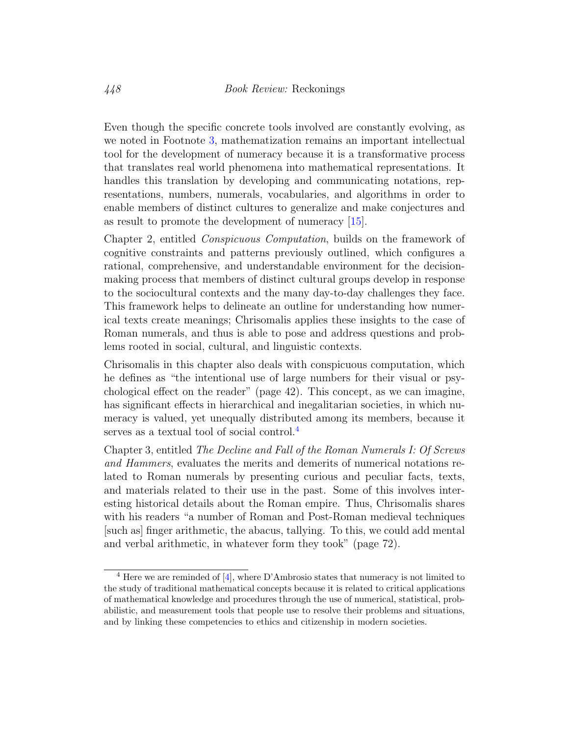Even though the specific concrete tools involved are constantly evolving, as we noted in Footnote [3,](#page-4-0) mathematization remains an important intellectual tool for the development of numeracy because it is a transformative process that translates real world phenomena into mathematical representations. It handles this translation by developing and communicating notations, representations, numbers, numerals, vocabularies, and algorithms in order to enable members of distinct cultures to generalize and make conjectures and as result to promote the development of numeracy [\[15\]](#page-23-0).

Chapter 2, entitled Conspicuous Computation, builds on the framework of cognitive constraints and patterns previously outlined, which configures a rational, comprehensive, and understandable environment for the decisionmaking process that members of distinct cultural groups develop in response to the sociocultural contexts and the many day-to-day challenges they face. This framework helps to delineate an outline for understanding how numerical texts create meanings; Chrisomalis applies these insights to the case of Roman numerals, and thus is able to pose and address questions and problems rooted in social, cultural, and linguistic contexts.

Chrisomalis in this chapter also deals with conspicuous computation, which he defines as "the intentional use of large numbers for their visual or psychological effect on the reader" (page 42). This concept, as we can imagine, has significant effects in hierarchical and inegalitarian societies, in which numeracy is valued, yet unequally distributed among its members, because it serves as a textual tool of social control.<sup>[4](#page-6-0)</sup>

Chapter 3, entitled The Decline and Fall of the Roman Numerals I: Of Screws and Hammers, evaluates the merits and demerits of numerical notations related to Roman numerals by presenting curious and peculiar facts, texts, and materials related to their use in the past. Some of this involves interesting historical details about the Roman empire. Thus, Chrisomalis shares with his readers "a number of Roman and Post-Roman medieval techniques [such as] finger arithmetic, the abacus, tallying. To this, we could add mental and verbal arithmetic, in whatever form they took" (page 72).

<span id="page-6-0"></span> $4$  Here we are reminded of [\[4\]](#page-22-3), where D'Ambrosio states that numeracy is not limited to the study of traditional mathematical concepts because it is related to critical applications of mathematical knowledge and procedures through the use of numerical, statistical, probabilistic, and measurement tools that people use to resolve their problems and situations, and by linking these competencies to ethics and citizenship in modern societies.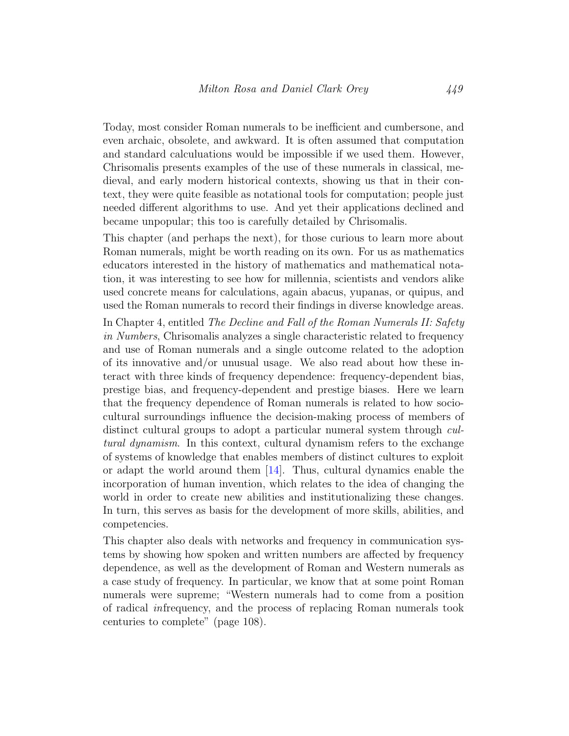Today, most consider Roman numerals to be inefficient and cumbersone, and even archaic, obsolete, and awkward. It is often assumed that computation and standard calculuations would be impossible if we used them. However, Chrisomalis presents examples of the use of these numerals in classical, medieval, and early modern historical contexts, showing us that in their context, they were quite feasible as notational tools for computation; people just needed different algorithms to use. And yet their applications declined and became unpopular; this too is carefully detailed by Chrisomalis.

This chapter (and perhaps the next), for those curious to learn more about Roman numerals, might be worth reading on its own. For us as mathematics educators interested in the history of mathematics and mathematical notation, it was interesting to see how for millennia, scientists and vendors alike used concrete means for calculations, again abacus, yupanas, or quipus, and used the Roman numerals to record their findings in diverse knowledge areas.

In Chapter 4, entitled The Decline and Fall of the Roman Numerals II: Safety in Numbers, Chrisomalis analyzes a single characteristic related to frequency and use of Roman numerals and a single outcome related to the adoption of its innovative and/or unusual usage. We also read about how these interact with three kinds of frequency dependence: frequency-dependent bias, prestige bias, and frequency-dependent and prestige biases. Here we learn that the frequency dependence of Roman numerals is related to how sociocultural surroundings influence the decision-making process of members of distinct cultural groups to adopt a particular numeral system through cultural dynamism. In this context, cultural dynamism refers to the exchange of systems of knowledge that enables members of distinct cultures to exploit or adapt the world around them [\[14\]](#page-23-1). Thus, cultural dynamics enable the incorporation of human invention, which relates to the idea of changing the world in order to create new abilities and institutionalizing these changes. In turn, this serves as basis for the development of more skills, abilities, and competencies.

This chapter also deals with networks and frequency in communication systems by showing how spoken and written numbers are affected by frequency dependence, as well as the development of Roman and Western numerals as a case study of frequency. In particular, we know that at some point Roman numerals were supreme; "Western numerals had to come from a position of radical infrequency, and the process of replacing Roman numerals took centuries to complete" (page 108).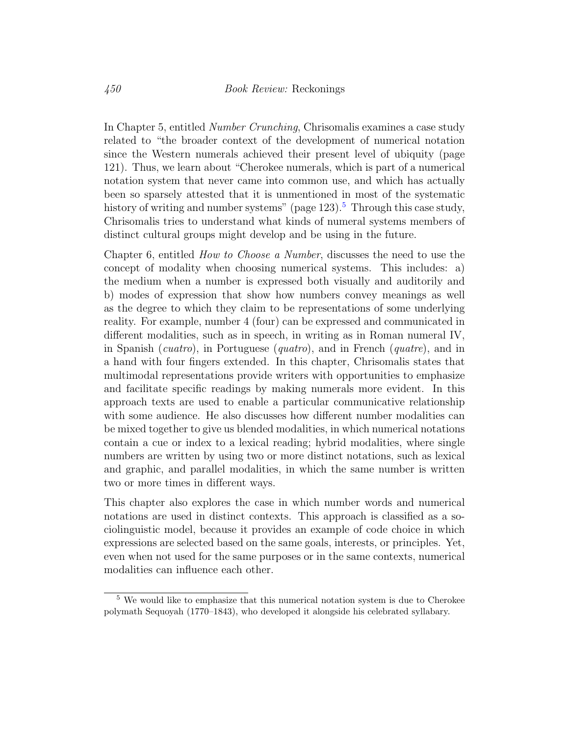In Chapter 5, entitled Number Crunching, Chrisomalis examines a case study related to "the broader context of the development of numerical notation since the Western numerals achieved their present level of ubiquity (page 121). Thus, we learn about "Cherokee numerals, which is part of a numerical notation system that never came into common use, and which has actually been so sparsely attested that it is unmentioned in most of the systematic history of writing and number systems" (page  $123$ ).<sup>[5](#page-8-0)</sup> Through this case study, Chrisomalis tries to understand what kinds of numeral systems members of distinct cultural groups might develop and be using in the future.

Chapter 6, entitled How to Choose a Number, discusses the need to use the concept of modality when choosing numerical systems. This includes: a) the medium when a number is expressed both visually and auditorily and b) modes of expression that show how numbers convey meanings as well as the degree to which they claim to be representations of some underlying reality. For example, number 4 (four) can be expressed and communicated in different modalities, such as in speech, in writing as in Roman numeral IV, in Spanish (*cuatro*), in Portuguese (*quatro*), and in French (*quatre*), and in a hand with four fingers extended. In this chapter, Chrisomalis states that multimodal representations provide writers with opportunities to emphasize and facilitate specific readings by making numerals more evident. In this approach texts are used to enable a particular communicative relationship with some audience. He also discusses how different number modalities can be mixed together to give us blended modalities, in which numerical notations contain a cue or index to a lexical reading; hybrid modalities, where single numbers are written by using two or more distinct notations, such as lexical and graphic, and parallel modalities, in which the same number is written two or more times in different ways.

This chapter also explores the case in which number words and numerical notations are used in distinct contexts. This approach is classified as a sociolinguistic model, because it provides an example of code choice in which expressions are selected based on the same goals, interests, or principles. Yet, even when not used for the same purposes or in the same contexts, numerical modalities can influence each other.

<span id="page-8-0"></span><sup>5</sup> We would like to emphasize that this numerical notation system is due to Cherokee polymath Sequoyah (1770–1843), who developed it alongside his celebrated syllabary.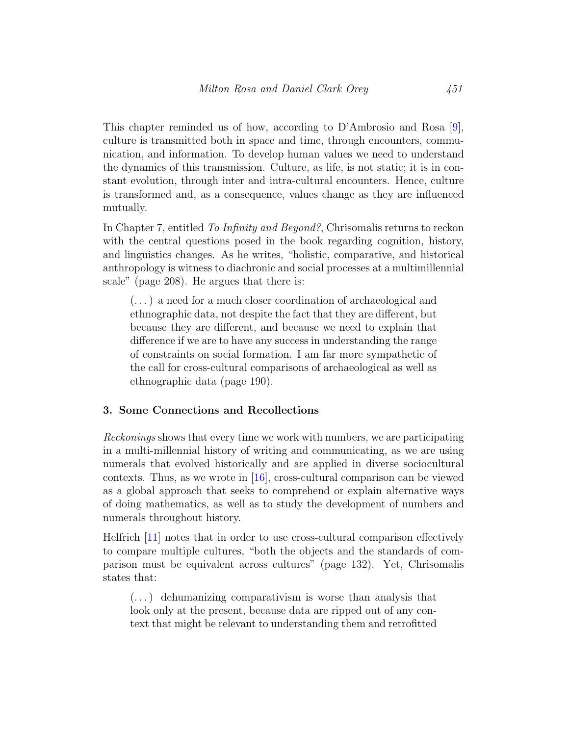This chapter reminded us of how, according to D'Ambrosio and Rosa [\[9\]](#page-22-4), culture is transmitted both in space and time, through encounters, communication, and information. To develop human values we need to understand the dynamics of this transmission. Culture, as life, is not static; it is in constant evolution, through inter and intra-cultural encounters. Hence, culture is transformed and, as a consequence, values change as they are influenced mutually.

In Chapter 7, entitled To Infinity and Beyond?, Chrisomalis returns to reckon with the central questions posed in the book regarding cognition, history, and linguistics changes. As he writes, "holistic, comparative, and historical anthropology is witness to diachronic and social processes at a multimillennial scale" (page 208). He argues that there is:

(. . . ) a need for a much closer coordination of archaeological and ethnographic data, not despite the fact that they are different, but because they are different, and because we need to explain that difference if we are to have any success in understanding the range of constraints on social formation. I am far more sympathetic of the call for cross-cultural comparisons of archaeological as well as ethnographic data (page 190).

#### 3. Some Connections and Recollections

Reckonings shows that every time we work with numbers, we are participating in a multi-millennial history of writing and communicating, as we are using numerals that evolved historically and are applied in diverse sociocultural contexts. Thus, as we wrote in [\[16\]](#page-23-2), cross-cultural comparison can be viewed as a global approach that seeks to comprehend or explain alternative ways of doing mathematics, as well as to study the development of numbers and numerals throughout history.

Helfrich [\[11\]](#page-23-3) notes that in order to use cross-cultural comparison effectively to compare multiple cultures, "both the objects and the standards of comparison must be equivalent across cultures" (page 132). Yet, Chrisomalis states that:

(. . . ) dehumanizing comparativism is worse than analysis that look only at the present, because data are ripped out of any context that might be relevant to understanding them and retrofitted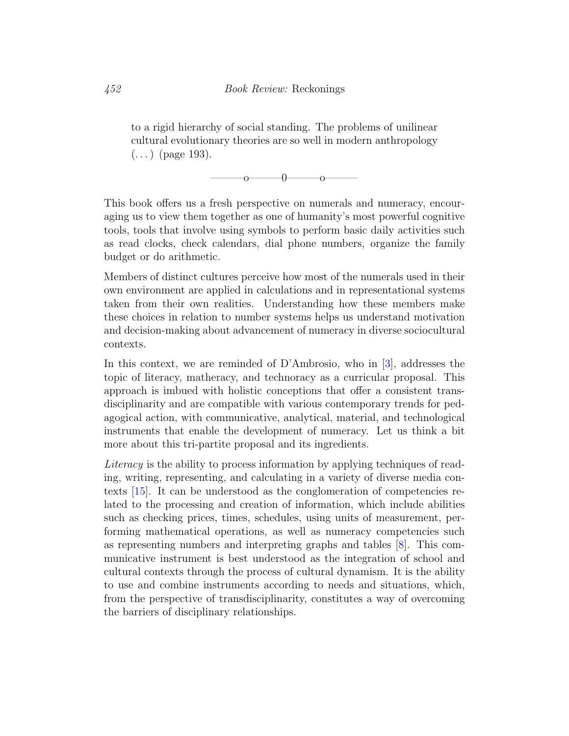to a rigid hierarchy of social standing. The problems of unilinear cultural evolutionary theories are so well in modern anthropology  $(...)$  (page 193).

 $\sim$  0——0——— $\sim$ 

This book offers us a fresh perspective on numerals and numeracy, encouraging us to view them together as one of humanity's most powerful cognitive tools, tools that involve using symbols to perform basic daily activities such as read clocks, check calendars, dial phone numbers, organize the family budget or do arithmetic.

Members of distinct cultures perceive how most of the numerals used in their own environment are applied in calculations and in representational systems taken from their own realities. Understanding how these members make these choices in relation to number systems helps us understand motivation and decision-making about advancement of numeracy in diverse sociocultural contexts.

In this context, we are reminded of D'Ambrosio, who in [\[3\]](#page-22-2), addresses the topic of literacy, matheracy, and technoracy as a curricular proposal. This approach is imbued with holistic conceptions that offer a consistent transdisciplinarity and are compatible with various contemporary trends for pedagogical action, with communicative, analytical, material, and technological instruments that enable the development of numeracy. Let us think a bit more about this tri-partite proposal and its ingredients.

Literacy is the ability to process information by applying techniques of reading, writing, representing, and calculating in a variety of diverse media contexts [\[15\]](#page-23-0). It can be understood as the conglomeration of competencies related to the processing and creation of information, which include abilities such as checking prices, times, schedules, using units of measurement, performing mathematical operations, as well as numeracy competencies such as representing numbers and interpreting graphs and tables [\[8\]](#page-22-1). This communicative instrument is best understood as the integration of school and cultural contexts through the process of cultural dynamism. It is the ability to use and combine instruments according to needs and situations, which, from the perspective of transdisciplinarity, constitutes a way of overcoming the barriers of disciplinary relationships.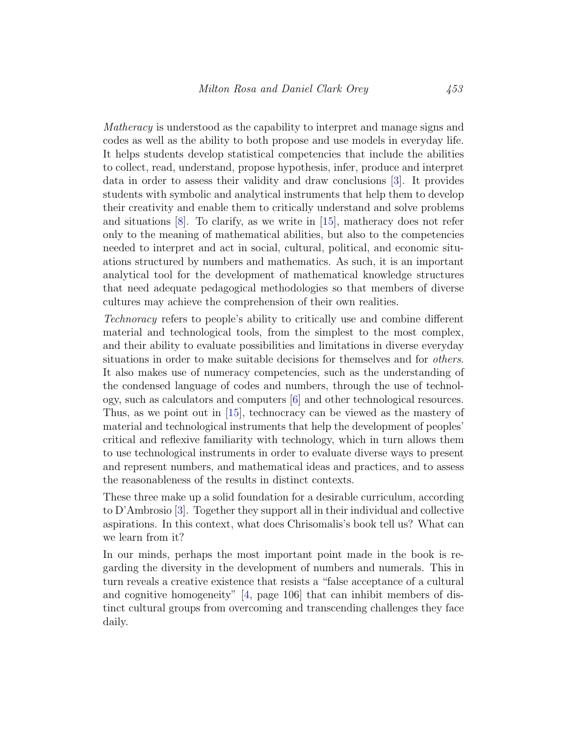Matheracy is understood as the capability to interpret and manage signs and codes as well as the ability to both propose and use models in everyday life. It helps students develop statistical competencies that include the abilities to collect, read, understand, propose hypothesis, infer, produce and interpret data in order to assess their validity and draw conclusions [\[3\]](#page-22-2). It provides students with symbolic and analytical instruments that help them to develop their creativity and enable them to critically understand and solve problems and situations [\[8\]](#page-22-1). To clarify, as we write in [\[15\]](#page-23-0), matheracy does not refer only to the meaning of mathematical abilities, but also to the competencies needed to interpret and act in social, cultural, political, and economic situations structured by numbers and mathematics. As such, it is an important analytical tool for the development of mathematical knowledge structures that need adequate pedagogical methodologies so that members of diverse cultures may achieve the comprehension of their own realities.

Technoracy refers to people's ability to critically use and combine different material and technological tools, from the simplest to the most complex, and their ability to evaluate possibilities and limitations in diverse everyday situations in order to make suitable decisions for themselves and for others. It also makes use of numeracy competencies, such as the understanding of the condensed language of codes and numbers, through the use of technology, such as calculators and computers [\[6\]](#page-22-5) and other technological resources. Thus, as we point out in [\[15\]](#page-23-0), technocracy can be viewed as the mastery of material and technological instruments that help the development of peoples' critical and reflexive familiarity with technology, which in turn allows them to use technological instruments in order to evaluate diverse ways to present and represent numbers, and mathematical ideas and practices, and to assess the reasonableness of the results in distinct contexts.

These three make up a solid foundation for a desirable curriculum, according to D'Ambrosio [\[3\]](#page-22-2). Together they support all in their individual and collective aspirations. In this context, what does Chrisomalis's book tell us? What can we learn from it?

In our minds, perhaps the most important point made in the book is regarding the diversity in the development of numbers and numerals. This in turn reveals a creative existence that resists a "false acceptance of a cultural and cognitive homogeneity" [\[4,](#page-22-3) page 106] that can inhibit members of distinct cultural groups from overcoming and transcending challenges they face daily.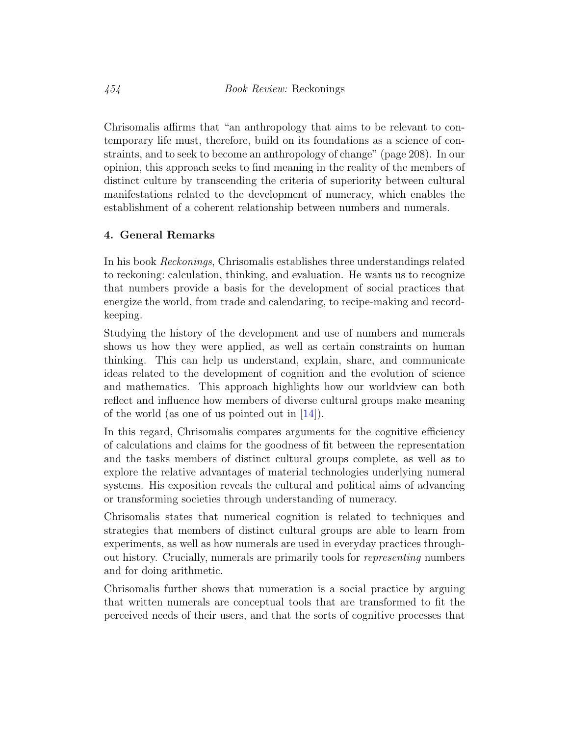Chrisomalis affirms that "an anthropology that aims to be relevant to contemporary life must, therefore, build on its foundations as a science of constraints, and to seek to become an anthropology of change" (page 208). In our opinion, this approach seeks to find meaning in the reality of the members of distinct culture by transcending the criteria of superiority between cultural manifestations related to the development of numeracy, which enables the establishment of a coherent relationship between numbers and numerals.

### 4. General Remarks

In his book Reckonings, Chrisomalis establishes three understandings related to reckoning: calculation, thinking, and evaluation. He wants us to recognize that numbers provide a basis for the development of social practices that energize the world, from trade and calendaring, to recipe-making and recordkeeping.

Studying the history of the development and use of numbers and numerals shows us how they were applied, as well as certain constraints on human thinking. This can help us understand, explain, share, and communicate ideas related to the development of cognition and the evolution of science and mathematics. This approach highlights how our worldview can both reflect and influence how members of diverse cultural groups make meaning of the world (as one of us pointed out in  $[14]$ ).

In this regard, Chrisomalis compares arguments for the cognitive efficiency of calculations and claims for the goodness of fit between the representation and the tasks members of distinct cultural groups complete, as well as to explore the relative advantages of material technologies underlying numeral systems. His exposition reveals the cultural and political aims of advancing or transforming societies through understanding of numeracy.

Chrisomalis states that numerical cognition is related to techniques and strategies that members of distinct cultural groups are able to learn from experiments, as well as how numerals are used in everyday practices throughout history. Crucially, numerals are primarily tools for representing numbers and for doing arithmetic.

Chrisomalis further shows that numeration is a social practice by arguing that written numerals are conceptual tools that are transformed to fit the perceived needs of their users, and that the sorts of cognitive processes that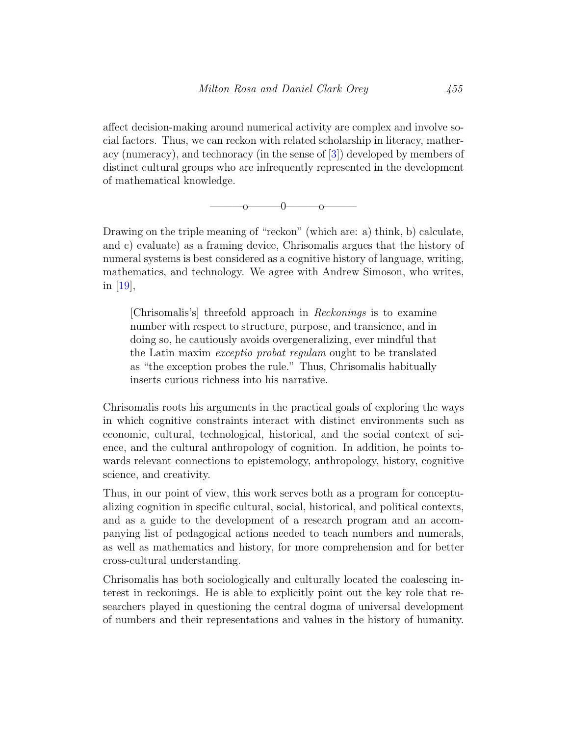affect decision-making around numerical activity are complex and involve social factors. Thus, we can reckon with related scholarship in literacy, matheracy (numeracy), and technoracy (in the sense of [\[3\]](#page-22-2)) developed by members of distinct cultural groups who are infrequently represented in the development of mathematical knowledge.



Drawing on the triple meaning of "reckon" (which are: a) think, b) calculate, and c) evaluate) as a framing device, Chrisomalis argues that the history of numeral systems is best considered as a cognitive history of language, writing, mathematics, and technology. We agree with Andrew Simoson, who writes, in [\[19\]](#page-23-4),

[Chrisomalis's] threefold approach in Reckonings is to examine number with respect to structure, purpose, and transience, and in doing so, he cautiously avoids overgeneralizing, ever mindful that the Latin maxim exceptio probat regulam ought to be translated as "the exception probes the rule." Thus, Chrisomalis habitually inserts curious richness into his narrative.

Chrisomalis roots his arguments in the practical goals of exploring the ways in which cognitive constraints interact with distinct environments such as economic, cultural, technological, historical, and the social context of science, and the cultural anthropology of cognition. In addition, he points towards relevant connections to epistemology, anthropology, history, cognitive science, and creativity.

Thus, in our point of view, this work serves both as a program for conceptualizing cognition in specific cultural, social, historical, and political contexts, and as a guide to the development of a research program and an accompanying list of pedagogical actions needed to teach numbers and numerals, as well as mathematics and history, for more comprehension and for better cross-cultural understanding.

Chrisomalis has both sociologically and culturally located the coalescing interest in reckonings. He is able to explicitly point out the key role that researchers played in questioning the central dogma of universal development of numbers and their representations and values in the history of humanity.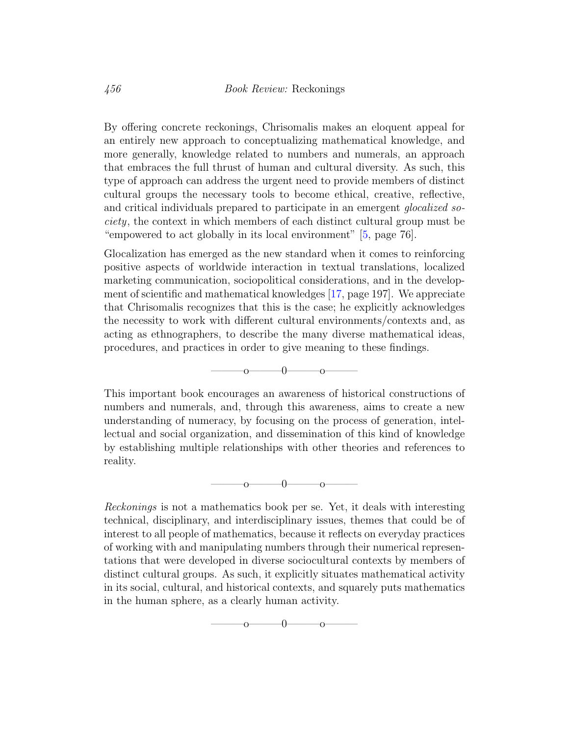By offering concrete reckonings, Chrisomalis makes an eloquent appeal for an entirely new approach to conceptualizing mathematical knowledge, and more generally, knowledge related to numbers and numerals, an approach that embraces the full thrust of human and cultural diversity. As such, this type of approach can address the urgent need to provide members of distinct cultural groups the necessary tools to become ethical, creative, reflective, and critical individuals prepared to participate in an emergent glocalized society, the context in which members of each distinct cultural group must be "empowered to act globally in its local environment" [\[5,](#page-22-0) page 76].

Glocalization has emerged as the new standard when it comes to reinforcing positive aspects of worldwide interaction in textual translations, localized marketing communication, sociopolitical considerations, and in the development of scientific and mathematical knowledges [\[17,](#page-23-5) page 197]. We appreciate that Chrisomalis recognizes that this is the case; he explicitly acknowledges the necessity to work with different cultural environments/contexts and, as acting as ethnographers, to describe the many diverse mathematical ideas, procedures, and practices in order to give meaning to these findings.



This important book encourages an awareness of historical constructions of numbers and numerals, and, through this awareness, aims to create a new understanding of numeracy, by focusing on the process of generation, intellectual and social organization, and dissemination of this kind of knowledge by establishing multiple relationships with other theories and references to reality.

$$
0 \hspace{3.5cm} 0 \hspace{3.5cm} 0 \hspace{3.5cm} 0
$$

Reckonings is not a mathematics book per se. Yet, it deals with interesting technical, disciplinary, and interdisciplinary issues, themes that could be of interest to all people of mathematics, because it reflects on everyday practices of working with and manipulating numbers through their numerical representations that were developed in diverse sociocultural contexts by members of distinct cultural groups. As such, it explicitly situates mathematical activity in its social, cultural, and historical contexts, and squarely puts mathematics in the human sphere, as a clearly human activity.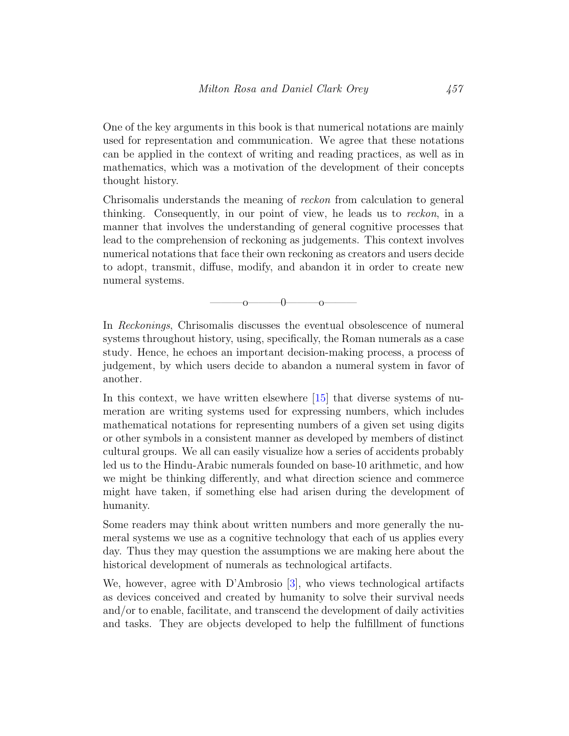One of the key arguments in this book is that numerical notations are mainly used for representation and communication. We agree that these notations can be applied in the context of writing and reading practices, as well as in mathematics, which was a motivation of the development of their concepts thought history.

Chrisomalis understands the meaning of reckon from calculation to general thinking. Consequently, in our point of view, he leads us to reckon, in a manner that involves the understanding of general cognitive processes that lead to the comprehension of reckoning as judgements. This context involves numerical notations that face their own reckoning as creators and users decide to adopt, transmit, diffuse, modify, and abandon it in order to create new numeral systems.

 $-0$ —— $-$ o—

In Reckonings, Chrisomalis discusses the eventual obsolescence of numeral systems throughout history, using, specifically, the Roman numerals as a case study. Hence, he echoes an important decision-making process, a process of judgement, by which users decide to abandon a numeral system in favor of another.

In this context, we have written elsewhere [\[15\]](#page-23-0) that diverse systems of numeration are writing systems used for expressing numbers, which includes mathematical notations for representing numbers of a given set using digits or other symbols in a consistent manner as developed by members of distinct cultural groups. We all can easily visualize how a series of accidents probably led us to the Hindu-Arabic numerals founded on base-10 arithmetic, and how we might be thinking differently, and what direction science and commerce might have taken, if something else had arisen during the development of humanity.

Some readers may think about written numbers and more generally the numeral systems we use as a cognitive technology that each of us applies every day. Thus they may question the assumptions we are making here about the historical development of numerals as technological artifacts.

We, however, agree with D'Ambrosio [\[3\]](#page-22-2), who views technological artifacts as devices conceived and created by humanity to solve their survival needs and/or to enable, facilitate, and transcend the development of daily activities and tasks. They are objects developed to help the fulfillment of functions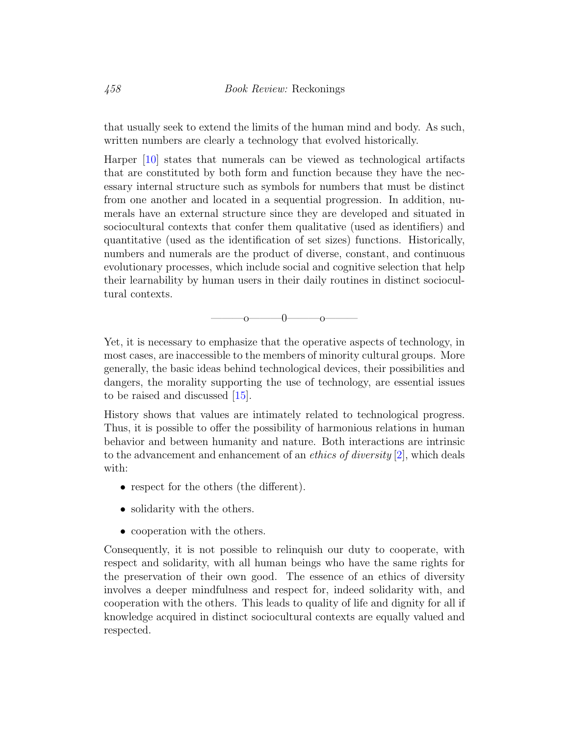that usually seek to extend the limits of the human mind and body. As such, written numbers are clearly a technology that evolved historically.

Harper [\[10\]](#page-22-6) states that numerals can be viewed as technological artifacts that are constituted by both form and function because they have the necessary internal structure such as symbols for numbers that must be distinct from one another and located in a sequential progression. In addition, numerals have an external structure since they are developed and situated in sociocultural contexts that confer them qualitative (used as identifiers) and quantitative (used as the identification of set sizes) functions. Historically, numbers and numerals are the product of diverse, constant, and continuous evolutionary processes, which include social and cognitive selection that help their learnability by human users in their daily routines in distinct sociocultural contexts.

 $-0$ —— $0$ —

Yet, it is necessary to emphasize that the operative aspects of technology, in most cases, are inaccessible to the members of minority cultural groups. More generally, the basic ideas behind technological devices, their possibilities and dangers, the morality supporting the use of technology, are essential issues to be raised and discussed [\[15\]](#page-23-0).

History shows that values are intimately related to technological progress. Thus, it is possible to offer the possibility of harmonious relations in human behavior and between humanity and nature. Both interactions are intrinsic to the advancement and enhancement of an *ethics of diversity* [\[2\]](#page-22-7), which deals with:

- respect for the others (the different).
- solidarity with the others.
- cooperation with the others.

Consequently, it is not possible to relinquish our duty to cooperate, with respect and solidarity, with all human beings who have the same rights for the preservation of their own good. The essence of an ethics of diversity involves a deeper mindfulness and respect for, indeed solidarity with, and cooperation with the others. This leads to quality of life and dignity for all if knowledge acquired in distinct sociocultural contexts are equally valued and respected.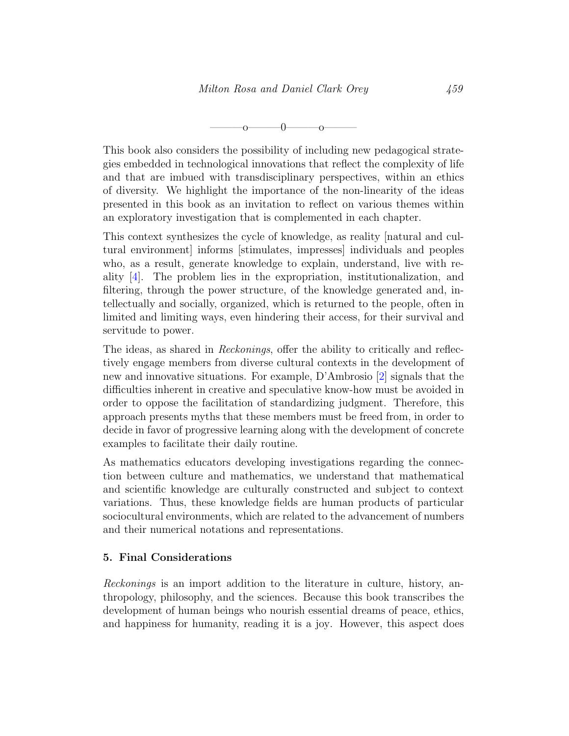$-0$ ——o—

This book also considers the possibility of including new pedagogical strategies embedded in technological innovations that reflect the complexity of life and that are imbued with transdisciplinary perspectives, within an ethics of diversity. We highlight the importance of the non-linearity of the ideas presented in this book as an invitation to reflect on various themes within an exploratory investigation that is complemented in each chapter.

This context synthesizes the cycle of knowledge, as reality [natural and cultural environment] informs [stimulates, impresses] individuals and peoples who, as a result, generate knowledge to explain, understand, live with reality [\[4\]](#page-22-3). The problem lies in the expropriation, institutionalization, and filtering, through the power structure, of the knowledge generated and, intellectually and socially, organized, which is returned to the people, often in limited and limiting ways, even hindering their access, for their survival and servitude to power.

The ideas, as shared in *Reckonings*, offer the ability to critically and reflectively engage members from diverse cultural contexts in the development of new and innovative situations. For example, D'Ambrosio [\[2\]](#page-22-7) signals that the difficulties inherent in creative and speculative know-how must be avoided in order to oppose the facilitation of standardizing judgment. Therefore, this approach presents myths that these members must be freed from, in order to decide in favor of progressive learning along with the development of concrete examples to facilitate their daily routine.

As mathematics educators developing investigations regarding the connection between culture and mathematics, we understand that mathematical and scientific knowledge are culturally constructed and subject to context variations. Thus, these knowledge fields are human products of particular sociocultural environments, which are related to the advancement of numbers and their numerical notations and representations.

#### 5. Final Considerations

Reckonings is an import addition to the literature in culture, history, anthropology, philosophy, and the sciences. Because this book transcribes the development of human beings who nourish essential dreams of peace, ethics, and happiness for humanity, reading it is a joy. However, this aspect does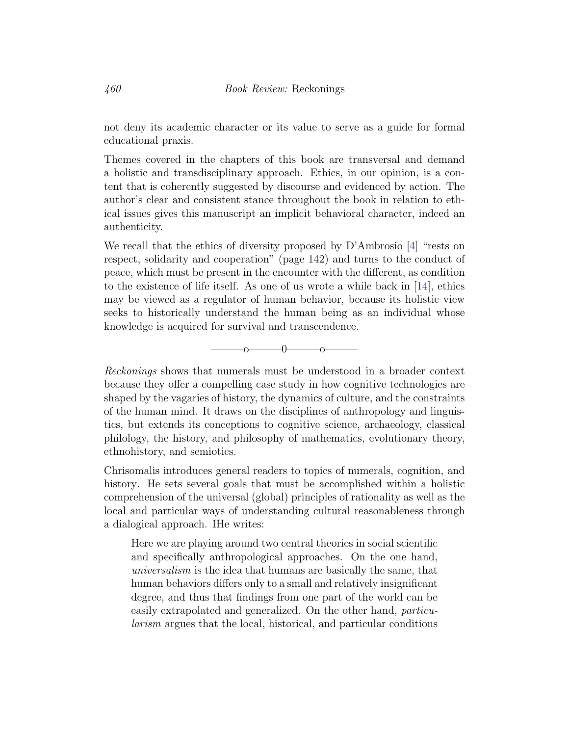not deny its academic character or its value to serve as a guide for formal educational praxis.

Themes covered in the chapters of this book are transversal and demand a holistic and transdisciplinary approach. Ethics, in our opinion, is a content that is coherently suggested by discourse and evidenced by action. The author's clear and consistent stance throughout the book in relation to ethical issues gives this manuscript an implicit behavioral character, indeed an authenticity.

We recall that the ethics of diversity proposed by D'Ambrosio [\[4\]](#page-22-3) "rests on respect, solidarity and cooperation" (page 142) and turns to the conduct of peace, which must be present in the encounter with the different, as condition to the existence of life itself. As one of us wrote a while back in  $[14]$ , ethics may be viewed as a regulator of human behavior, because its holistic view seeks to historically understand the human being as an individual whose knowledge is acquired for survival and transcendence.



Reckonings shows that numerals must be understood in a broader context because they offer a compelling case study in how cognitive technologies are shaped by the vagaries of history, the dynamics of culture, and the constraints of the human mind. It draws on the disciplines of anthropology and linguistics, but extends its conceptions to cognitive science, archaeology, classical philology, the history, and philosophy of mathematics, evolutionary theory, ethnohistory, and semiotics.

Chrisomalis introduces general readers to topics of numerals, cognition, and history. He sets several goals that must be accomplished within a holistic comprehension of the universal (global) principles of rationality as well as the local and particular ways of understanding cultural reasonableness through a dialogical approach. IHe writes:

Here we are playing around two central theories in social scientific and specifically anthropological approaches. On the one hand, universalism is the idea that humans are basically the same, that human behaviors differs only to a small and relatively insignificant degree, and thus that findings from one part of the world can be easily extrapolated and generalized. On the other hand, particularism argues that the local, historical, and particular conditions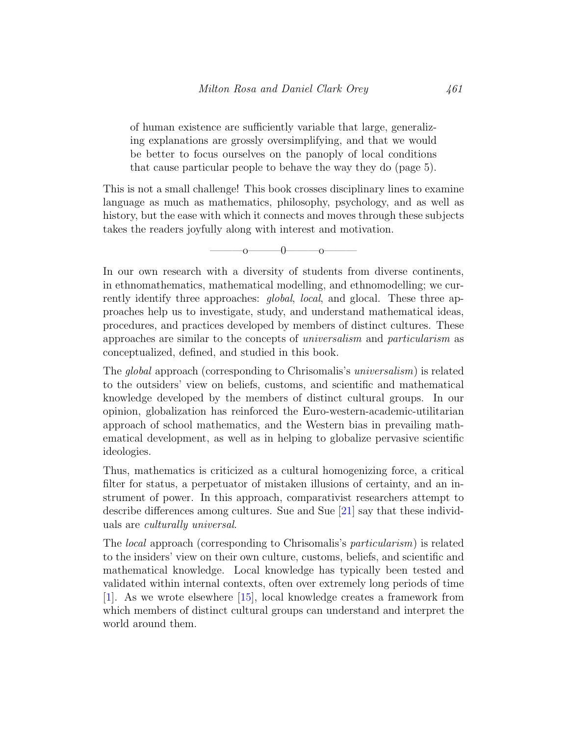of human existence are sufficiently variable that large, generalizing explanations are grossly oversimplifying, and that we would be better to focus ourselves on the panoply of local conditions that cause particular people to behave the way they do (page 5).

This is not a small challenge! This book crosses disciplinary lines to examine language as much as mathematics, philosophy, psychology, and as well as history, but the ease with which it connects and moves through these subjects takes the readers joyfully along with interest and motivation.

 $\overline{0}$   $\overline{0}$   $\overline{0}$   $\overline{0}$   $\overline{0}$ 

In our own research with a diversity of students from diverse continents, in ethnomathematics, mathematical modelling, and ethnomodelling; we currently identify three approaches: *global, local*, and glocal. These three approaches help us to investigate, study, and understand mathematical ideas, procedures, and practices developed by members of distinct cultures. These approaches are similar to the concepts of universalism and particularism as conceptualized, defined, and studied in this book.

The global approach (corresponding to Chrisomalis's universalism) is related to the outsiders' view on beliefs, customs, and scientific and mathematical knowledge developed by the members of distinct cultural groups. In our opinion, globalization has reinforced the Euro-western-academic-utilitarian approach of school mathematics, and the Western bias in prevailing mathematical development, as well as in helping to globalize pervasive scientific ideologies.

Thus, mathematics is criticized as a cultural homogenizing force, a critical filter for status, a perpetuator of mistaken illusions of certainty, and an instrument of power. In this approach, comparativist researchers attempt to describe differences among cultures. Sue and Sue [\[21\]](#page-24-1) say that these individuals are culturally universal.

The local approach (corresponding to Chrisomalis's particularism) is related to the insiders' view on their own culture, customs, beliefs, and scientific and mathematical knowledge. Local knowledge has typically been tested and validated within internal contexts, often over extremely long periods of time [\[1\]](#page-21-0). As we wrote elsewhere [\[15\]](#page-23-0), local knowledge creates a framework from which members of distinct cultural groups can understand and interpret the world around them.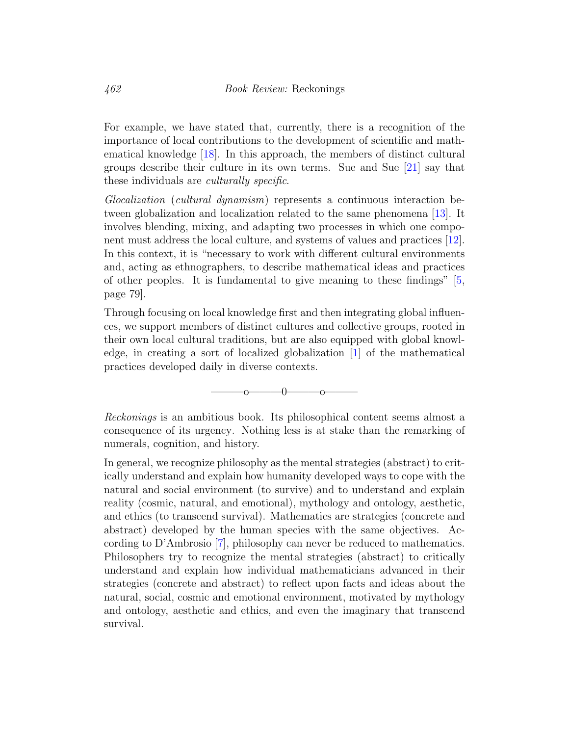For example, we have stated that, currently, there is a recognition of the importance of local contributions to the development of scientific and mathematical knowledge [\[18\]](#page-23-6). In this approach, the members of distinct cultural groups describe their culture in its own terms. Sue and Sue [\[21\]](#page-24-1) say that these individuals are *culturally specific*.

Glocalization (cultural dynamism) represents a continuous interaction between globalization and localization related to the same phenomena [\[13\]](#page-23-7). It involves blending, mixing, and adapting two processes in which one component must address the local culture, and systems of values and practices [\[12\]](#page-23-8). In this context, it is "necessary to work with different cultural environments and, acting as ethnographers, to describe mathematical ideas and practices of other peoples. It is fundamental to give meaning to these findings" [\[5,](#page-22-0) page 79].

Through focusing on local knowledge first and then integrating global influences, we support members of distinct cultures and collective groups, rooted in their own local cultural traditions, but are also equipped with global knowledge, in creating a sort of localized globalization [\[1\]](#page-21-0) of the mathematical practices developed daily in diverse contexts.

 $\sim$  0  $\sim$  0

Reckonings is an ambitious book. Its philosophical content seems almost a consequence of its urgency. Nothing less is at stake than the remarking of numerals, cognition, and history.

In general, we recognize philosophy as the mental strategies (abstract) to critically understand and explain how humanity developed ways to cope with the natural and social environment (to survive) and to understand and explain reality (cosmic, natural, and emotional), mythology and ontology, aesthetic, and ethics (to transcend survival). Mathematics are strategies (concrete and abstract) developed by the human species with the same objectives. According to D'Ambrosio [\[7\]](#page-22-8), philosophy can never be reduced to mathematics. Philosophers try to recognize the mental strategies (abstract) to critically understand and explain how individual mathematicians advanced in their strategies (concrete and abstract) to reflect upon facts and ideas about the natural, social, cosmic and emotional environment, motivated by mythology and ontology, aesthetic and ethics, and even the imaginary that transcend survival.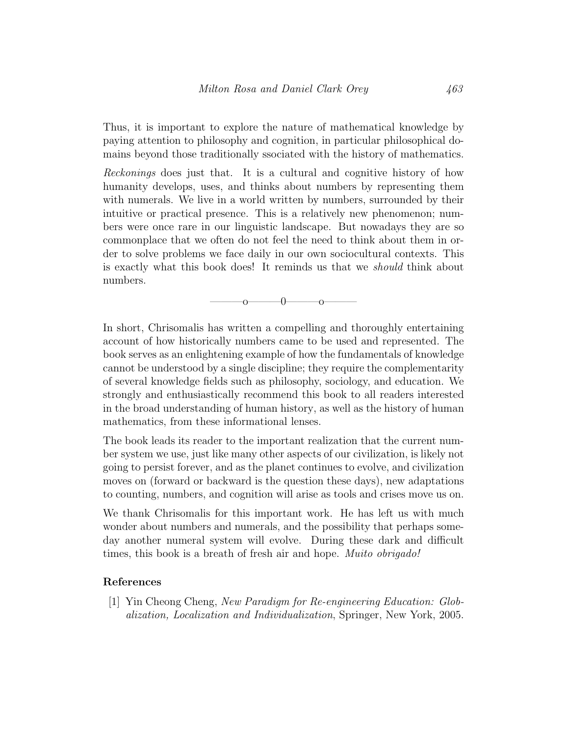Thus, it is important to explore the nature of mathematical knowledge by paying attention to philosophy and cognition, in particular philosophical domains beyond those traditionally ssociated with the history of mathematics.

Reckonings does just that. It is a cultural and cognitive history of how humanity develops, uses, and thinks about numbers by representing them with numerals. We live in a world written by numbers, surrounded by their intuitive or practical presence. This is a relatively new phenomenon; numbers were once rare in our linguistic landscape. But nowadays they are so commonplace that we often do not feel the need to think about them in order to solve problems we face daily in our own sociocultural contexts. This is exactly what this book does! It reminds us that we should think about numbers.

 $\sim$  0  $\sim$  0

In short, Chrisomalis has written a compelling and thoroughly entertaining account of how historically numbers came to be used and represented. The book serves as an enlightening example of how the fundamentals of knowledge cannot be understood by a single discipline; they require the complementarity of several knowledge fields such as philosophy, sociology, and education. We strongly and enthusiastically recommend this book to all readers interested in the broad understanding of human history, as well as the history of human mathematics, from these informational lenses.

The book leads its reader to the important realization that the current number system we use, just like many other aspects of our civilization, is likely not going to persist forever, and as the planet continues to evolve, and civilization moves on (forward or backward is the question these days), new adaptations to counting, numbers, and cognition will arise as tools and crises move us on.

We thank Chrisomalis for this important work. He has left us with much wonder about numbers and numerals, and the possibility that perhaps someday another numeral system will evolve. During these dark and difficult times, this book is a breath of fresh air and hope. *Muito obrigado!* 

### References

<span id="page-21-0"></span>[1] Yin Cheong Cheng, New Paradigm for Re-engineering Education: Globalization, Localization and Individualization, Springer, New York, 2005.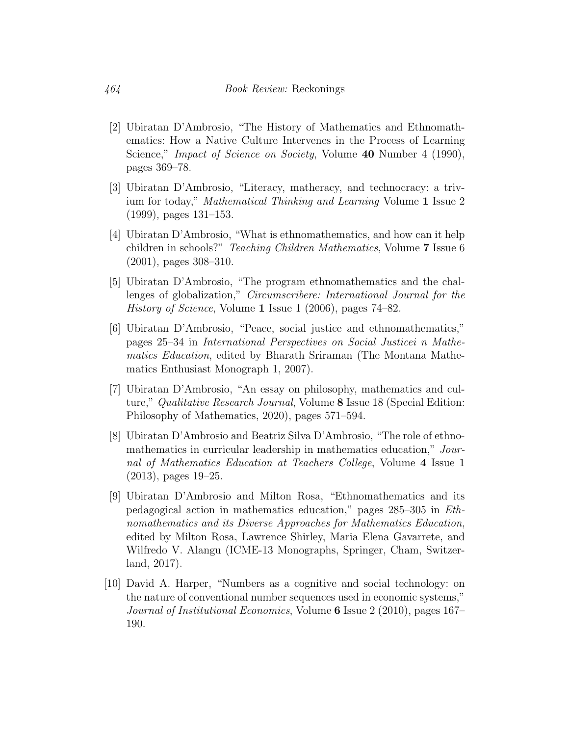- <span id="page-22-7"></span>[2] Ubiratan D'Ambrosio, "The History of Mathematics and Ethnomathematics: How a Native Culture Intervenes in the Process of Learning Science," *Impact of Science on Society*, Volume 40 Number 4 (1990), pages 369–78.
- <span id="page-22-2"></span>[3] Ubiratan D'Ambrosio, "Literacy, matheracy, and technocracy: a trivium for today," Mathematical Thinking and Learning Volume 1 Issue 2 (1999), pages 131–153.
- <span id="page-22-3"></span>[4] Ubiratan D'Ambrosio, "What is ethnomathematics, and how can it help children in schools?" Teaching Children Mathematics, Volume 7 Issue 6 (2001), pages 308–310.
- <span id="page-22-0"></span>[5] Ubiratan D'Ambrosio, "The program ethnomathematics and the challenges of globalization," Circumscribere: International Journal for the History of Science, Volume 1 Issue 1 (2006), pages 74–82.
- <span id="page-22-5"></span>[6] Ubiratan D'Ambrosio, "Peace, social justice and ethnomathematics," pages 25–34 in International Perspectives on Social Justicei n Mathematics Education, edited by Bharath Sriraman (The Montana Mathematics Enthusiast Monograph 1, 2007).
- <span id="page-22-8"></span>[7] Ubiratan D'Ambrosio, "An essay on philosophy, mathematics and culture," Qualitative Research Journal, Volume 8 Issue 18 (Special Edition: Philosophy of Mathematics, 2020), pages 571–594.
- <span id="page-22-1"></span>[8] Ubiratan D'Ambrosio and Beatriz Silva D'Ambrosio, "The role of ethnomathematics in curricular leadership in mathematics education," Journal of Mathematics Education at Teachers College, Volume 4 Issue 1 (2013), pages 19–25.
- <span id="page-22-4"></span>[9] Ubiratan D'Ambrosio and Milton Rosa, "Ethnomathematics and its pedagogical action in mathematics education," pages 285–305 in Ethnomathematics and its Diverse Approaches for Mathematics Education, edited by Milton Rosa, Lawrence Shirley, Maria Elena Gavarrete, and Wilfredo V. Alangu (ICME-13 Monographs, Springer, Cham, Switzerland, 2017).
- <span id="page-22-6"></span>[10] David A. Harper, "Numbers as a cognitive and social technology: on the nature of conventional number sequences used in economic systems," Journal of Institutional Economics, Volume 6 Issue 2 (2010), pages 167– 190.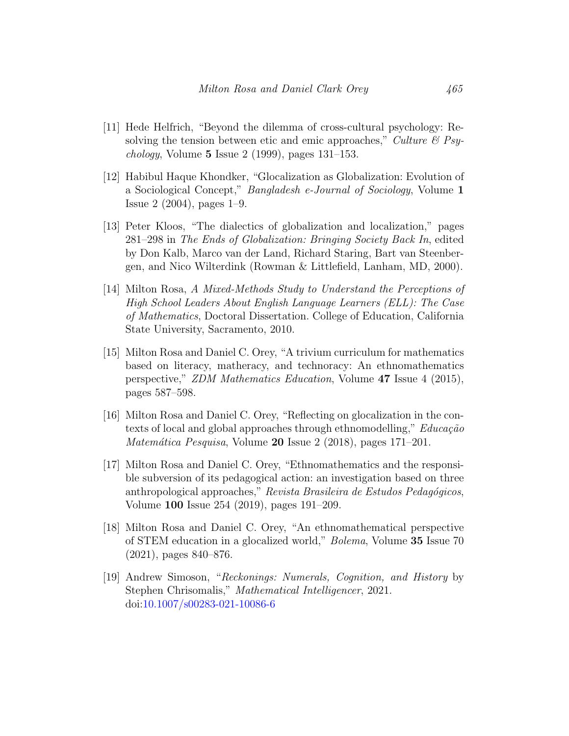- <span id="page-23-3"></span>[11] Hede Helfrich, "Beyond the dilemma of cross-cultural psychology: Resolving the tension between etic and emic approaches," Culture  $\mathcal{B}$  Psy*chology*, Volume 5 Issue 2 (1999), pages  $131-153$ .
- <span id="page-23-8"></span>[12] Habibul Haque Khondker, "Glocalization as Globalization: Evolution of a Sociological Concept," Bangladesh e-Journal of Sociology, Volume 1 Issue 2 (2004), pages 1–9.
- <span id="page-23-7"></span>[13] Peter Kloos, "The dialectics of globalization and localization," pages 281–298 in The Ends of Globalization: Bringing Society Back In, edited by Don Kalb, Marco van der Land, Richard Staring, Bart van Steenbergen, and Nico Wilterdink (Rowman & Littlefield, Lanham, MD, 2000).
- <span id="page-23-1"></span>[14] Milton Rosa, A Mixed-Methods Study to Understand the Perceptions of High School Leaders About English Language Learners (ELL): The Case of Mathematics, Doctoral Dissertation. College of Education, California State University, Sacramento, 2010.
- <span id="page-23-0"></span>[15] Milton Rosa and Daniel C. Orey, "A trivium curriculum for mathematics based on literacy, matheracy, and technoracy: An ethnomathematics perspective," ZDM Mathematics Education, Volume 47 Issue 4 (2015), pages 587–598.
- <span id="page-23-2"></span>[16] Milton Rosa and Daniel C. Orey, "Reflecting on glocalization in the contexts of local and global approaches through ethnomodelling,"  $Educação$ Matemática Pesquisa, Volume  $20$  Issue 2 (2018), pages 171–201.
- <span id="page-23-5"></span>[17] Milton Rosa and Daniel C. Orey, "Ethnomathematics and the responsible subversion of its pedagogical action: an investigation based on three anthropological approaches," Revista Brasileira de Estudos Pedagógicos, Volume 100 Issue 254 (2019), pages 191–209.
- <span id="page-23-6"></span>[18] Milton Rosa and Daniel C. Orey, "An ethnomathematical perspective of STEM education in a glocalized world," Bolema, Volume 35 Issue 70 (2021), pages 840–876.
- <span id="page-23-4"></span>[19] Andrew Simoson, "Reckonings: Numerals, Cognition, and History by Stephen Chrisomalis," Mathematical Intelligencer, 2021. doi[:10.1007/s00283-021-10086-6](http://dx.doi.org/10.1007/s00283-021-10086-6)